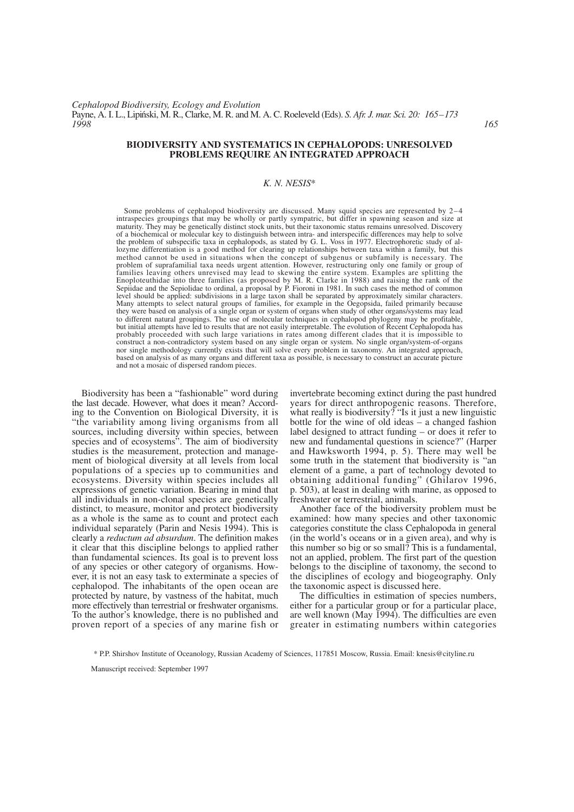#### **BIODIVERSITY AND SYSTEMATICS IN CEPHALOPODS: UNRESOLVED PROBLEMS REQUIRE AN INTEGRATED APPROACH**

### *K. N. NESIS*\*

Some problems of cephalopod biodiversity are discussed. Many squid species are represented by 2–4 intraspecies groupings that may be wholly or partly sympatric, but differ in spawning season and size at maturity. They may be genetically distinct stock units, but their taxonomic status remains unresolved. Discovery of a biochemical or molecular key to distinguish between intra- and interspecific differences may help to solve the problem of subspecific taxa in cephalopods, as stated by G. L. Voss in 1977. Electrophoretic study of allozyme differentiation is a good method for clearing up relationships between taxa within a family, but this method cannot be used in situations when the concept of subgenus or subfamily is necessary. The problem of suprafamilial taxa needs urgent attention. However, restructuring only one family or group of families leaving others unrevised may lead to skewing the entire system. Examples are splitting the Enoploteuthidae into three families (as proposed by M. R. Clarke in 1988) and raising the rank of the Sepiidae and the Sepiolidae to ordinal, a proposal by P. Fioroni in 1981. In such cases the method of common level should be applied: subdivisions in a large taxon shall be separated by approximately similar characters. Many attempts to select natural groups of families, for example in the Oegopsida, failed primarily because they were based on analysis of a single organ or system of organs when study of other organs/systems may lead to different natural groupings. The use of molecular techniques in cephalopod phylogeny may be profitable, but initial attempts have led to results that are not easily interpretable. The evolution of Recent Cephalopoda has probably proceeded with such large variations in rates among different clades that it is impossible to construct a non-contradictory system based on any single organ or system. No single organ/system-of-organs nor single methodology currently exists that will solve every problem in taxonomy. An integrated approach, based on analysis of as many organs and different taxa as possible, is necessary to construct an accurate picture and not a mosaic of dispersed random pieces.

Biodiversity has been a "fashionable" word during the last decade. However, what does it mean? According to the Convention on Biological Diversity, it is "the variability among living organisms from all sources, including diversity within species, between species and of ecosystems". The aim of biodiversity studies is the measurement, protection and management of biological diversity at all levels from local populations of a species up to communities and ecosystems. Diversity within species includes all expressions of genetic variation. Bearing in mind that all individuals in non-clonal species are genetically distinct, to measure, monitor and protect biodiversity as a whole is the same as to count and protect each individual separately (Parin and Nesis 1994). This is clearly a *reductum ad absurdum*. The definition makes it clear that this discipline belongs to applied rather than fundamental sciences. Its goal is to prevent loss of any species or other category of organisms. However, it is not an easy task to exterminate a species of cephalopod. The inhabitants of the open ocean are protected by nature, by vastness of the habitat, much more effectively than terrestrial or freshwater organisms. To the author's knowledge, there is no published and proven report of a species of any marine fish or invertebrate becoming extinct during the past hundred years for direct anthropogenic reasons. Therefore, what really is biodiversity? "Is it just a new linguistic bottle for the wine of old ideas – a changed fashion label designed to attract funding – or does it refer to new and fundamental questions in science?" (Harper and Hawksworth 1994, p. 5). There may well be some truth in the statement that biodiversity is "an element of a game, a part of technology devoted to obtaining additional funding" (Ghilarov 1996, p. 503), at least in dealing with marine, as opposed to freshwater or terrestrial, animals.

Another face of the biodiversity problem must be examined: how many species and other taxonomic categories constitute the class Cephalopoda in general (in the world's oceans or in a given area), and why is this number so big or so small? This is a fundamental, not an applied, problem. The first part of the question belongs to the discipline of taxonomy, the second to the disciplines of ecology and biogeography. Only the taxonomic aspect is discussed here.

The difficulties in estimation of species numbers, either for a particular group or for a particular place, are well known (May 1994). The difficulties are even greater in estimating numbers within categories

Manuscript received: September 1997

<sup>\*</sup> P.P. Shirshov Institute of Oceanology, Russian Academy of Sciences, 117851 Moscow, Russia. Email: knesis@cityline.ru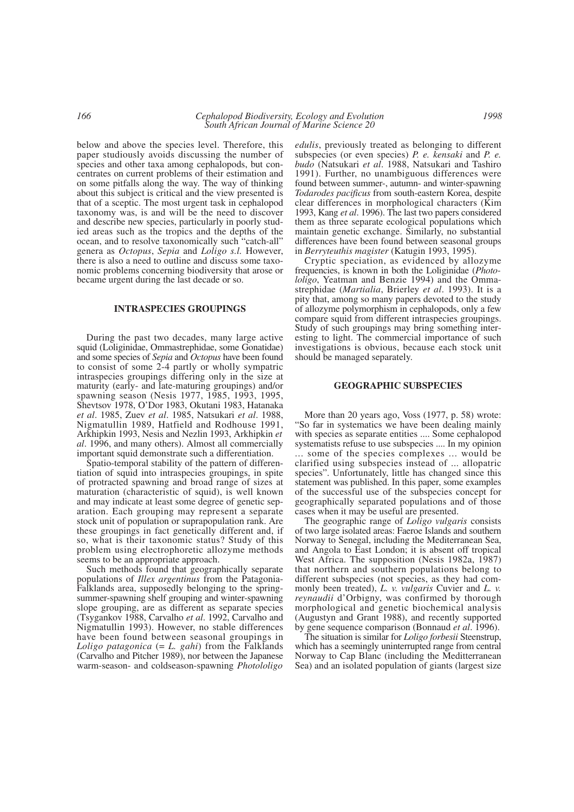below and above the species level. Therefore, this paper studiously avoids discussing the number of species and other taxa among cephalopods, but concentrates on current problems of their estimation and on some pitfalls along the way. The way of thinking about this subject is critical and the view presented is that of a sceptic. The most urgent task in cephalopod taxonomy was, is and will be the need to discover and describe new species, particularly in poorly studied areas such as the tropics and the depths of the ocean, and to resolve taxonomically such "catch-all" genera as *Octopus*, *Sepia* and *Loligo s.l.* However, there is also a need to outline and discuss some taxonomic problems concerning biodiversity that arose or became urgent during the last decade or so.

### **INTRASPECIES GROUPINGS**

During the past two decades, many large active squid (Loliginidae, Ommastrephidae, some Gonatidae) and some species of *Sepia* and *Octopus* have been found to consist of some 2-4 partly or wholly sympatric intraspecies groupings differing only in the size at maturity (early- and late-maturing groupings) and/or spawning season (Nesis 1977, 1985, 1993, 1995, Shevtsov 1978, O'Dor 1983, Okutani 1983, Hatanaka *et al*. 1985, Zuev *et al*. 1985, Natsukari *et al*. 1988, Nigmatullin 1989, Hatfield and Rodhouse 1991, Arkhipkin 1993, Nesis and Nezlin 1993, Arkhipkin *et al*. 1996, and many others). Almost all commercially important squid demonstrate such a differentiation.

Spatio-temporal stability of the pattern of differentiation of squid into intraspecies groupings, in spite of protracted spawning and broad range of sizes at maturation (characteristic of squid), is well known and may indicate at least some degree of genetic separation. Each grouping may represent a separate stock unit of population or suprapopulation rank. Are these groupings in fact genetically different and, if so, what is their taxonomic status? Study of this problem using electrophoretic allozyme methods seems to be an appropriate approach.

Such methods found that geographically separate populations of *Illex argentinus* from the Patagonia-Falklands area, supposedly belonging to the springsummer-spawning shelf grouping and winter-spawning slope grouping, are as different as separate species (Tsygankov 1988, Carvalho *et al*. 1992, Carvalho and Nigmatullin 1993). However, no stable differences have been found between seasonal groupings in *Loligo patagonica* (= *L. gahi*) from the Falklands (Carvalho and Pitcher 1989), nor between the Japanese warm-season- and coldseason-spawning *Photololigo*

*edulis*, previously treated as belonging to different subspecies (or even species) *P. e. kensaki* and *P. e. budo* (Natsukari *et al*. 1988, Natsukari and Tashiro 1991). Further, no unambiguous differences were found between summer-, autumn- and winter-spawning *Todarodes pacificus* from south-eastern Korea, despite clear differences in morphological characters (Kim 1993, Kang *et al*. 1996). The last two papers considered them as three separate ecological populations which maintain genetic exchange. Similarly, no substantial differences have been found between seasonal groups in *Berryteuthis magister* (Katugin 1993, 1995).

Cryptic speciation, as evidenced by allozyme frequencies, is known in both the Loliginidae (*Photololigo*, Yeatman and Benzie 1994) and the Ommastrephidae (*Martialia*, Brierley *et al*. 1993). It is a pity that, among so many papers devoted to the study of allozyme polymorphism in cephalopods, only a few compare squid from different intraspecies groupings. Study of such groupings may bring something interesting to light. The commercial importance of such investigations is obvious, because each stock unit should be managed separately.

## **GEOGRAPHIC SUBSPECIES**

More than 20 years ago, Voss (1977, p. 58) wrote: "So far in systematics we have been dealing mainly with species as separate entities .... Some cephalopod systematists refuse to use subspecies .... In my opinion ... some of the species complexes ... would be clarified using subspecies instead of ... allopatric species". Unfortunately, little has changed since this statement was published. In this paper, some examples of the successful use of the subspecies concept for geographically separated populations and of those cases when it may be useful are presented.

The geographic range of *Loligo vulgaris* consists of two large isolated areas: Faeroe Islands and southern Norway to Senegal, including the Mediterranean Sea, and Angola to East London; it is absent off tropical West Africa. The supposition (Nesis 1982a, 1987) that northern and southern populations belong to different subspecies (not species, as they had commonly been treated), *L. v. vulgaris* Cuvier and *L. v. reynaudii* d'Orbigny, was confirmed by thorough morphological and genetic biochemical analysis (Augustyn and Grant 1988), and recently supported by gene sequence comparison (Bonnaud *et al*. 1996).

The situation is similar for *Loligo forbesii* Steenstrup, which has a seemingly uninterrupted range from central Norway to Cap Blanc (including the Meditterranean Sea) and an isolated population of giants (largest size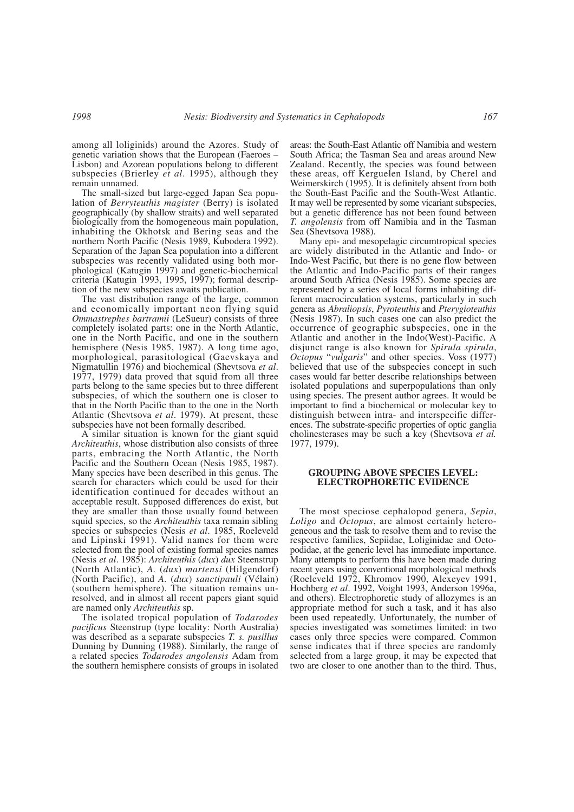among all loliginids) around the Azores. Study of genetic variation shows that the European (Faeroes – Lisbon) and Azorean populations belong to different subspecies (Brierley *et al*. 1995), although they remain unnamed.

The small-sized but large-egged Japan Sea population of *Berryteuthis magister* (Berry) is isolated geographically (by shallow straits) and well separated biologically from the homogeneous main population, inhabiting the Okhotsk and Bering seas and the northern North Pacific (Nesis 1989, Kubodera 1992). Separation of the Japan Sea population into a different subspecies was recently validated using both morphological (Katugin 1997) and genetic-biochemical criteria (Katugin 1993, 1995, 1997); formal description of the new subspecies awaits publication.

The vast distribution range of the large, common and economically important neon flying squid *Ommastrephes bartramii* (LeSueur) consists of three completely isolated parts: one in the North Atlantic, one in the North Pacific, and one in the southern hemisphere (Nesis 1985, 1987). A long time ago, morphological, parasitological (Gaevskaya and Nigmatullin 1976) and biochemical (Shevtsova *et al*. 1977, 1979) data proved that squid from all three parts belong to the same species but to three different subspecies, of which the southern one is closer to that in the North Pacific than to the one in the North Atlantic (Shevtsova *et al*. 1979). At present, these subspecies have not been formally described.

A similar situation is known for the giant squid *Architeuthis*, whose distribution also consists of three parts, embracing the North Atlantic, the North Pacific and the Southern Ocean (Nesis 1985, 1987). Many species have been described in this genus. The search for characters which could be used for their identification continued for decades without an acceptable result. Supposed differences do exist, but they are smaller than those usually found between squid species, so the *Architeuthis* taxa remain sibling species or subspecies (Nesis *et al*. 1985, Roeleveld and Lipinski 1991). Valid names for them were selected from the pool of existing formal species names (Nesis *et al*. 1985): *Architeuthis* (*dux*) *dux* Steenstrup (North Atlantic), *A.* (*dux*) *martensi* (Hilgendorf) (North Pacific), and *A.* (*dux*) *sanctipauli* (Vélain) (southern hemisphere). The situation remains unresolved, and in almost all recent papers giant squid are named only *Architeuthis* sp.

The isolated tropical population of *Todarodes pacificus* Steenstrup (type locality: North Australia) was described as a separate subspecies *T. s. pusillus* Dunning by Dunning (1988). Similarly, the range of a related species *Todarodes angolensis* Adam from the southern hemisphere consists of groups in isolated

areas: the South-East Atlantic off Namibia and western South Africa; the Tasman Sea and areas around New Zealand. Recently, the species was found between these areas, off Kerguelen Island, by Cherel and Weimerskirch (1995). It is definitely absent from both the South-East Pacific and the South-West Atlantic. It may well be represented by some vicariant subspecies, but a genetic difference has not been found between *T. angolensis* from off Namibia and in the Tasman Sea (Shevtsova 1988).

Many epi- and mesopelagic circumtropical species are widely distributed in the Atlantic and Indo- or Indo-West Pacific, but there is no gene flow between the Atlantic and Indo-Pacific parts of their ranges around South Africa (Nesis 1985). Some species are represented by a series of local forms inhabiting different macrocirculation systems, particularly in such genera as *Abraliopsis*, *Pyroteuthis* and *Pterygioteuthis* (Nesis 1987). In such cases one can also predict the occurrence of geographic subspecies, one in the Atlantic and another in the Indo(West)-Pacific. A disjunct range is also known for *Spirula spirula*, *Octopus* "*vulgaris*" and other species. Voss (1977) believed that use of the subspecies concept in such cases would far better describe relationships between isolated populations and superpopulations than only using species. The present author agrees. It would be important to find a biochemical or molecular key to distinguish between intra- and interspecific differences. The substrate-specific properties of optic ganglia cholinesterases may be such a key (Shevtsova *et al.* 1977, 1979).

## **GROUPING ABOVE SPECIES LEVEL: ELECTROPHORETIC EVIDENCE**

The most speciose cephalopod genera, *Sepia*, *Loligo* and *Octopus*, are almost certainly heterogeneous and the task to resolve them and to revise the respective families, Sepiidae, Loliginidae and Octopodidae, at the generic level has immediate importance. Many attempts to perform this have been made during recent years using conventional morphological methods (Roeleveld 1972, Khromov 1990, Alexeyev 1991, Hochberg *et al*. 1992, Voight 1993, Anderson 1996a, and others). Electrophoretic study of allozymes is an appropriate method for such a task, and it has also been used repeatedly. Unfortunately, the number of species investigated was sometimes limited: in two cases only three species were compared. Common sense indicates that if three species are randomly selected from a large group, it may be expected that two are closer to one another than to the third. Thus,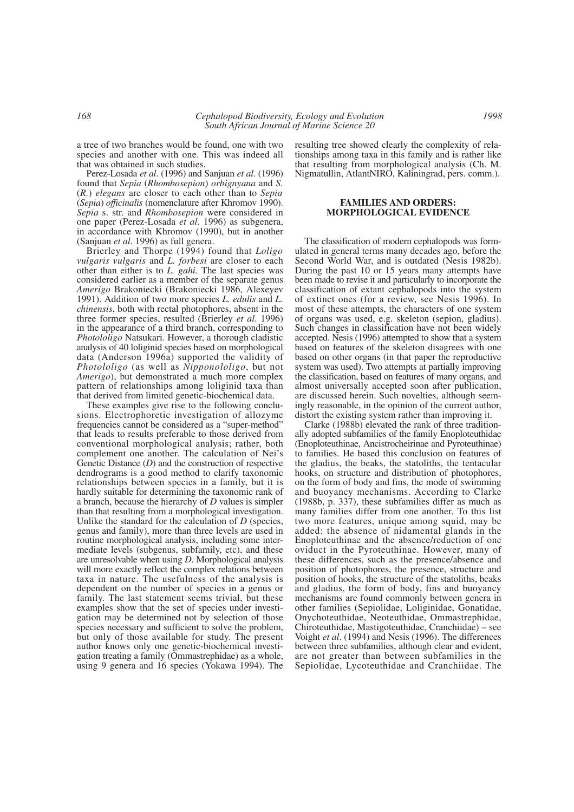a tree of two branches would be found, one with two species and another with one. This was indeed all that was obtained in such studies.

Perez-Losada *et al*. (1996) and Sanjuan *et al*. (1996) found that *Sepia* (*Rhombosepion*) *orbignyana* and *S.* (*R.*) *elegans* are closer to each other than to *Sepia* (*Sepia*) *officinalis* (nomenclature after Khromov 1990). *Sepia* s. str. and *Rhombosepion* were considered in one paper (Perez-Losada *et al*. 1996) as subgenera, in accordance with Khromov (1990), but in another (Sanjuan *et al*. 1996) as full genera.

Brierley and Thorpe (1994) found that *Loligo vulgaris vulgaris* and *L. forbesi* are closer to each other than either is to *L. gahi.* The last species was considered earlier as a member of the separate genus *Amerigo* Brakoniecki (Brakoniecki 1986, Alexeyev 1991). Addition of two more species *L. edulis* and *L. chinensis*, both with rectal photophores, absent in the three former species, resulted (Brierley *et al*. 1996) in the appearance of a third branch, corresponding to *Photololigo* Natsukari. However, a thorough cladistic analysis of 40 loliginid species based on morphological data (Anderson 1996a) supported the validity of *Photololigo* (as well as *Nipponololigo*, but not *Amerigo*), but demonstrated a much more complex pattern of relationships among loliginid taxa than that derived from limited genetic-biochemical data.

These examples give rise to the following conclusions. Electrophoretic investigation of allozyme frequencies cannot be considered as a "super-method" that leads to results preferable to those derived from conventional morphological analysis; rather, both complement one another. The calculation of Nei's Genetic Distance (*D*) and the construction of respective dendrograms is a good method to clarify taxonomic relationships between species in a family, but it is hardly suitable for determining the taxonomic rank of a branch, because the hierarchy of *D* values is simpler than that resulting from a morphological investigation. Unlike the standard for the calculation of *D* (species, genus and family), more than three levels are used in routine morphological analysis, including some intermediate levels (subgenus, subfamily, etc), and these are unresolvable when using *D*. Morphological analysis will more exactly reflect the complex relations between taxa in nature. The usefulness of the analysis is dependent on the number of species in a genus or family. The last statement seems trivial, but these examples show that the set of species under investigation may be determined not by selection of those species necessary and sufficient to solve the problem, but only of those available for study. The present author knows only one genetic-biochemical investigation treating a family (Ommastrephidae) as a whole, using 9 genera and 16 species (Yokawa 1994). The

resulting tree showed clearly the complexity of relationships among taxa in this family and is rather like that resulting from morphological analysis (Ch. M. Nigmatullin, AtlantNIRO, Kaliningrad, pers. comm.).

*1998*

## **FAMILIES AND ORDERS: MORPHOLOGICAL EVIDENCE**

The classification of modern cephalopods was formulated in general terms many decades ago, before the Second World War, and is outdated (Nesis 1982b). During the past 10 or 15 years many attempts have been made to revise it and particularly to incorporate the classification of extant cephalopods into the system of extinct ones (for a review, see Nesis 1996). In most of these attempts, the characters of one system of organs was used, e.g. skeleton (sepion, gladius). Such changes in classification have not been widely accepted. Nesis (1996) attempted to show that a system based on features of the skeleton disagrees with one based on other organs (in that paper the reproductive system was used). Two attempts at partially improving the classification, based on features of many organs, and almost universally accepted soon after publication, are discussed herein. Such novelties, although seemingly reasonable, in the opinion of the current author, distort the existing system rather than improving it.

Clarke (1988b) elevated the rank of three traditionally adopted subfamilies of the family Enoploteuthidae (Enoploteuthinae, Ancistrocheirinae and Pyroteuthinae) to families. He based this conclusion on features of the gladius, the beaks, the statoliths, the tentacular hooks, on structure and distribution of photophores, on the form of body and fins, the mode of swimming and buoyancy mechanisms. According to Clarke (1988b, p. 337), these subfamilies differ as much as many families differ from one another. To this list two more features, unique among squid, may be added: the absence of nidamental glands in the Enoploteuthinae and the absence/reduction of one oviduct in the Pyroteuthinae. However, many of these differences, such as the presence/absence and position of photophores, the presence, structure and position of hooks, the structure of the statoliths, beaks and gladius, the form of body, fins and buoyancy mechanisms are found commonly between genera in other families (Sepiolidae, Loliginidae, Gonatidae, Onychoteuthidae, Neoteuthidae, Ommastrephidae, Chiroteuthidae, Mastigoteuthidae, Cranchiidae) – see Voight *et al*. (1994) and Nesis (1996). The differences between three subfamilies, although clear and evident, are not greater than between subfamilies in the Sepiolidae, Lycoteuthidae and Cranchiidae. The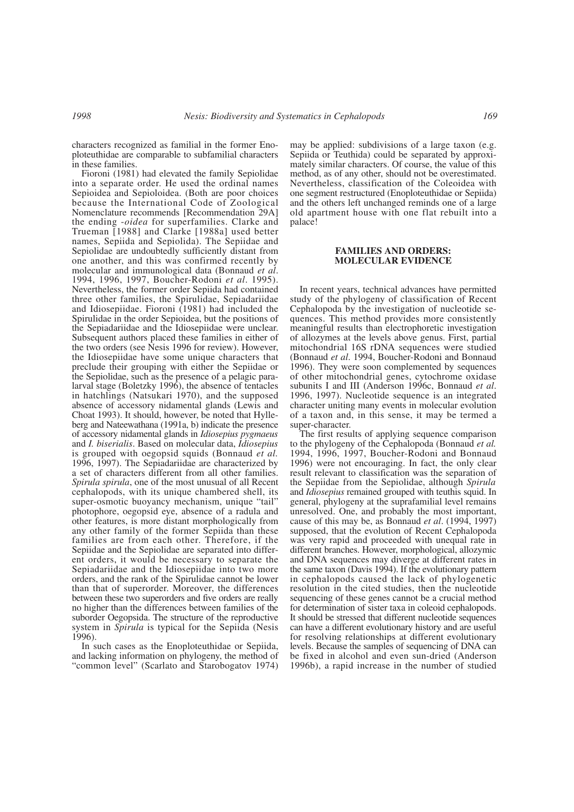Fioroni (1981) had elevated the family Sepiolidae into a separate order. He used the ordinal names Sepioidea and Sepioloidea. (Both are poor choices because the International Code of Zoological Nomenclature recommends [Recommendation 29A] the ending -*oidea* for superfamilies. Clarke and Trueman [1988] and Clarke [1988a] used better names, Sepiida and Sepiolida). The Sepiidae and Sepiolidae are undoubtedly sufficiently distant from one another, and this was confirmed recently by molecular and immunological data (Bonnaud *et al*. 1994, 1996, 1997, Boucher-Rodoni *et al*. 1995). Nevertheless, the former order Sepiida had contained three other families, the Spirulidae, Sepiadariidae and Idiosepiidae. Fioroni (1981) had included the Spirulidae in the order Sepioidea, but the positions of the Sepiadariidae and the Idiosepiidae were unclear. Subsequent authors placed these families in either of the two orders (see Nesis 1996 for review). However, the Idiosepiidae have some unique characters that preclude their grouping with either the Sepiidae or the Sepiolidae, such as the presence of a pelagic paralarval stage (Boletzky 1996), the absence of tentacles in hatchlings (Natsukari 1970), and the supposed absence of accessory nidamental glands (Lewis and Choat 1993). It should, however, be noted that Hylleberg and Nateewathana (1991a, b) indicate the presence of accessory nidamental glands in *Idiosepius pygmaeus* and *I. biserialis*. Based on molecular data, *Idiosepius* is grouped with oegopsid squids (Bonnaud *et al.* 1996, 1997). The Sepiadariidae are characterized by a set of characters different from all other families. *Spirula spirula*, one of the most unusual of all Recent cephalopods, with its unique chambered shell, its super-osmotic buoyancy mechanism, unique "tail" photophore, oegopsid eye, absence of a radula and other features, is more distant morphologically from any other family of the former Sepiida than these families are from each other. Therefore, if the Sepiidae and the Sepiolidae are separated into different orders, it would be necessary to separate the Sepiadariidae and the Idiosepiidae into two more orders, and the rank of the Spirulidae cannot be lower than that of superorder. Moreover, the differences between these two superorders and five orders are really no higher than the differences between families of the suborder Oegopsida. The structure of the reproductive system in *Spirula* is typical for the Sepiida (Nesis 1996).

In such cases as the Enoploteuthidae or Sepiida, and lacking information on phylogeny, the method of "common level" (Scarlato and Starobogatov 1974) may be applied: subdivisions of a large taxon (e.g. Sepiida or Teuthida) could be separated by approximately similar characters. Of course, the value of this method, as of any other, should not be overestimated. Nevertheless, classification of the Coleoidea with one segment restructured (Enoploteuthidae or Sepiida) and the others left unchanged reminds one of a large old apartment house with one flat rebuilt into a palace!

# **FAMILIES AND ORDERS: MOLECULAR EVIDENCE**

In recent years, technical advances have permitted study of the phylogeny of classification of Recent Cephalopoda by the investigation of nucleotide sequences. This method provides more consistently meaningful results than electrophoretic investigation of allozymes at the levels above genus. First, partial mitochondrial 16S rDNA sequences were studied (Bonnaud *et al*. 1994, Boucher-Rodoni and Bonnaud 1996). They were soon complemented by sequences of other mitochondrial genes, cytochrome oxidase subunits I and III (Anderson 1996c, Bonnaud *et al*. 1996, 1997). Nucleotide sequence is an integrated character uniting many events in molecular evolution of a taxon and, in this sense, it may be termed a super-character.

The first results of applying sequence comparison to the phylogeny of the Cephalopoda (Bonnaud *et al.* 1994, 1996, 1997, Boucher-Rodoni and Bonnaud 1996) were not encouraging. In fact, the only clear result relevant to classification was the separation of the Sepiidae from the Sepiolidae, although *Spirula* and *Idiosepius* remained grouped with teuthis squid. In general, phylogeny at the suprafamilial level remains unresolved. One, and probably the most important, cause of this may be, as Bonnaud *et al*. (1994, 1997) supposed, that the evolution of Recent Cephalopoda was very rapid and proceeded with unequal rate in different branches. However, morphological, allozymic and DNA sequences may diverge at different rates in the same taxon (Davis 1994). If the evolutionary pattern in cephalopods caused the lack of phylogenetic resolution in the cited studies, then the nucleotide sequencing of these genes cannot be a crucial method for determination of sister taxa in coleoid cephalopods. It should be stressed that different nucleotide sequences can have a different evolutionary history and are useful for resolving relationships at different evolutionary levels. Because the samples of sequencing of DNA can be fixed in alcohol and even sun-dried (Anderson 1996b), a rapid increase in the number of studied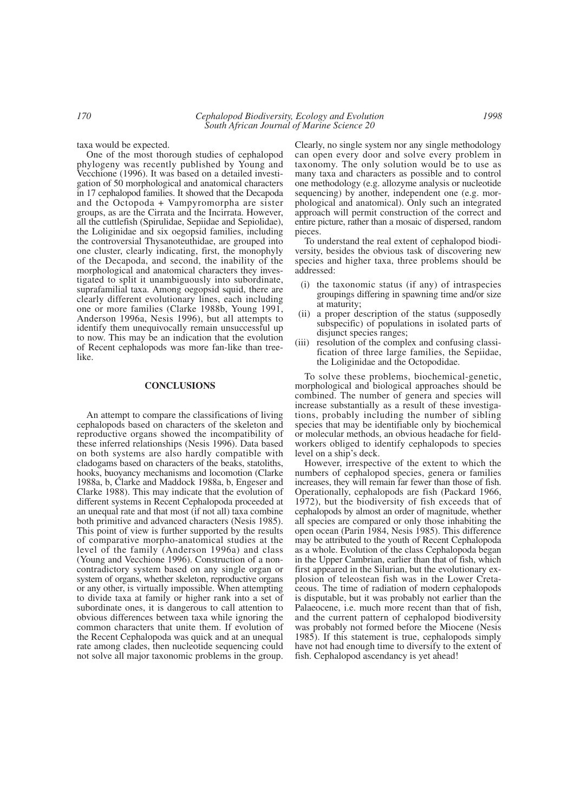taxa would be expected.

One of the most thorough studies of cephalopod phylogeny was recently published by Young and Vecchione (1996). It was based on a detailed investigation of 50 morphological and anatomical characters in 17 cephalopod families. It showed that the Decapoda and the Octopoda + Vampyromorpha are sister groups, as are the Cirrata and the Incirrata. However, all the cuttlefish (Spirulidae, Sepiidae and Sepiolidae), the Loliginidae and six oegopsid families, including the controversial Thysanoteuthidae, are grouped into one cluster, clearly indicating, first, the monophyly of the Decapoda, and second, the inability of the morphological and anatomical characters they investigated to split it unambiguously into subordinate, suprafamilial taxa. Among oegopsid squid, there are clearly different evolutionary lines, each including one or more families (Clarke 1988b, Young 1991, Anderson 1996a, Nesis 1996), but all attempts to identify them unequivocally remain unsuccessful up to now. This may be an indication that the evolution of Recent cephalopods was more fan-like than treelike.

## **CONCLUSIONS**

An attempt to compare the classifications of living cephalopods based on characters of the skeleton and reproductive organs showed the incompatibility of these inferred relationships (Nesis 1996). Data based on both systems are also hardly compatible with cladogams based on characters of the beaks, statoliths, hooks, buoyancy mechanisms and locomotion (Clarke 1988a, b, Clarke and Maddock 1988a, b, Engeser and Clarke 1988). This may indicate that the evolution of different systems in Recent Cephalopoda proceeded at an unequal rate and that most (if not all) taxa combine both primitive and advanced characters (Nesis 1985). This point of view is further supported by the results of comparative morpho-anatomical studies at the level of the family (Anderson 1996a) and class (Young and Vecchione 1996). Construction of a noncontradictory system based on any single organ or system of organs, whether skeleton, reproductive organs or any other, is virtually impossible. When attempting to divide taxa at family or higher rank into a set of subordinate ones, it is dangerous to call attention to obvious differences between taxa while ignoring the common characters that unite them. If evolution of the Recent Cephalopoda was quick and at an unequal rate among clades, then nucleotide sequencing could not solve all major taxonomic problems in the group.

Clearly, no single system nor any single methodology can open every door and solve every problem in taxonomy. The only solution would be to use as many taxa and characters as possible and to control one methodology (e.g. allozyme analysis or nucleotide sequencing) by another, independent one (e.g. morphological and anatomical). Only such an integrated approach will permit construction of the correct and entire picture, rather than a mosaic of dispersed, random pieces.

To understand the real extent of cephalopod biodiversity, besides the obvious task of discovering new species and higher taxa, three problems should be addressed:

- (i) the taxonomic status (if any) of intraspecies groupings differing in spawning time and/or size at maturity;
- (ii) a proper description of the status (supposedly subspecific) of populations in isolated parts of disjunct species ranges;
- (iii) resolution of the complex and confusing classification of three large families, the Sepiidae, the Loliginidae and the Octopodidae.

To solve these problems, biochemical-genetic, morphological and biological approaches should be combined. The number of genera and species will increase substantially as a result of these investigations, probably including the number of sibling species that may be identifiable only by biochemical or molecular methods, an obvious headache for fieldworkers obliged to identify cephalopods to species level on a ship's deck.

However, irrespective of the extent to which the numbers of cephalopod species, genera or families increases, they will remain far fewer than those of fish. Operationally, cephalopods are fish (Packard 1966, 1972), but the biodiversity of fish exceeds that of cephalopods by almost an order of magnitude, whether all species are compared or only those inhabiting the open ocean (Parin 1984, Nesis 1985). This difference may be attributed to the youth of Recent Cephalopoda as a whole. Evolution of the class Cephalopoda began in the Upper Cambrian, earlier than that of fish, which first appeared in the Silurian, but the evolutionary explosion of teleostean fish was in the Lower Cretaceous. The time of radiation of modern cephalopods is disputable, but it was probably not earlier than the Palaeocene, i.e. much more recent than that of fish, and the current pattern of cephalopod biodiversity was probably not formed before the Miocene (Nesis 1985). If this statement is true, cephalopods simply have not had enough time to diversify to the extent of fish. Cephalopod ascendancy is yet ahead!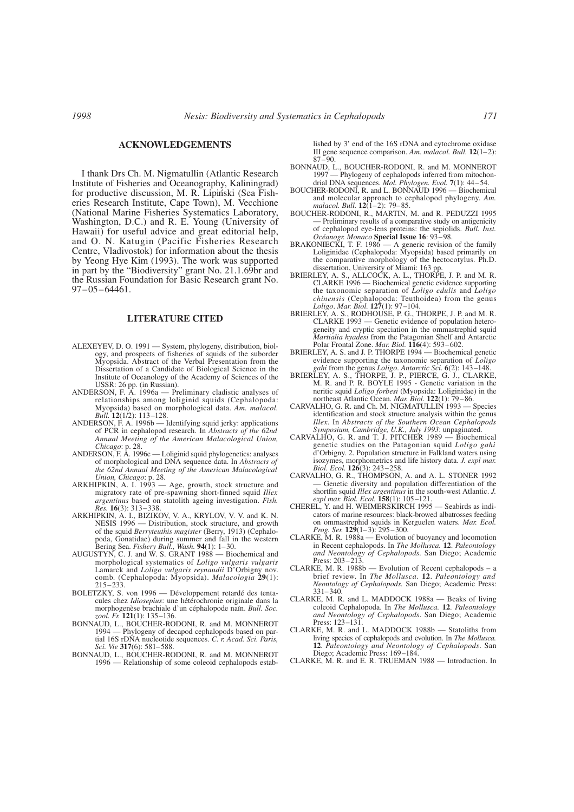### **ACKNOWLEDGEMENTS**

I thank Drs Ch. M. Nigmatullin (Atlantic Research Institute of Fisheries and Oceanography, Kaliningrad) for productive discussion, M. R. Lipiński (Sea Fisheries Research Institute, Cape Town), M. Vecchione (National Marine Fisheries Systematics Laboratory, Washington, D.C.) and R. E. Young (University of Hawaii) for useful advice and great editorial help, and O. N. Katugin (Pacific Fisheries Research Centre, Vladivostok) for information about the thesis by Yeong Hye Kim (1993). The work was supported in part by the "Biodiversity" grant No. 21.1.69br and the Russian Foundation for Basic Research grant No. 97–05–64461.

## **LITERATURE CITED**

- ALEXEYEV, D. O. 1991 System, phylogeny, distribution, biology, and prospects of fisheries of squids of the suborder Myopsida. Abstract of the Verbal Presentation from the Dissertation of a Candidate of Biological Science in the Institute of Oceanology of the Academy of Sciences of the USSR: 26 pp. (in Russian).
- ANDERSON, F. A. 1996a Preliminary cladistic analyses of relationships among loliginid squids (Cephalopoda: Myopsida) based on morphological data. *Am. malacol. Bull.* **12**(1/2): 113–128.
- ANDERSON, F. A. 1996b Identifying squid jerky: applications of PCR in cephalopod research. In *Abstracts of the 62nd Annual Meeting of the American Malacological Union, Chicago*: p. 28.
- ANDERSON, F. A. 1996c Loliginid squid phylogenetics: analyses of morphological and DNA sequence data. In *Abstracts of the 62nd Annual Meeting of the American Malacological Union, Chicago*: p. 28.
- ARKHIPKIN, A. I. 1993 Age, growth, stock structure and migratory rate of pre-spawning short-finned squid *Illex argentinus* based on statolith ageing investigation. *Fish. Res.* **16**(3): 313–338.
- ARKHIPKIN, A. I., BIZIKOV, V. A., KRYLOV, V. V. and K. N. NESIS 1996 — Distribution, stock structure, and growth of the squid *Berryteuthis magister* (Berry, 1913) (Cephalopoda, Gonatidae) during summer and fall in the western Bering Sea. *Fishery Bull., Wash.* **94**(1): 1–30.
- AUGUSTYN, C. J. and W. S. GRANT 1988 Biochemical and morphological systematics of *Loligo vulgaris vulgaris* Lamarck and *Loligo vulgaris reynaudii* D'Orbigny nov. comb. (Cephalopoda: Myopsida). *Malacologia* **29**(1): 215–233.
- BOLETZKY, S. von 1996 Développement retardé des tentacules chez *Idiosepius*: une hétérochronie originale dans la morphogenèse brachiale d'un céphalopode naïn. *Bull. Soc. zool. Fr.* **121**(1): 135–136.
- BONNAUD, L., BOUCHER-RODONI, R. and M. MONNEROT 1994 — Phylogeny of decapod cephalopods based on partial 16S rDNA nucleotide sequences. *C. r. Acad. Sci. Paris, Sci. Vie* **317**(6): 581–588.
- BONNAUD, L., BOUCHER-RODONI, R. and M. MONNEROT 1996 — Relationship of some coleoid cephalopods estab-

lished by 3' end of the 16S rDNA and cytochrome oxidase III gene sequence comparison. *Am. malacol. Bull.* **12**(1–2):  $87 - 90.$ 

- BONNAUD, L., BOUCHER-RODONI, R. and M. MONNEROT 1997 — Phylogeny of cephalopods inferred from mitochondrial DNA sequences. *Mol. Phylogen. Evol.* **7**(1): 44–54.
- BOUCHER-RODONI, R. and L. BONNAUD 1996 Biochemical and molecular approach to cephalopod phylogeny. *Am. malacol. Bull.* **12**(1–2): 79–85.
- BOUCHER-RODONI, R., MARTIN, M. and R. PEDUZZI 1995 — Preliminary results of a comparative study on antigenicity of cephalopod eye-lens proteins: the sepiolids. *Bull. Inst. Océanogr. Monaco* **Special Issue 16**: 93–98.
- BRAKONIECKI, T. F. 1986 A generic revision of the family Loliginidae (Cephalopoda: Myopsida) based primarily on the comparative morphology of the hectocotylus. Ph.D. dissertation, University of Miami: 163 pp.
- BRIERLEY, A. S., ALLCOCK, A. L., THORPE, J. P. and M. R. CLARKE 1996 — Biochemical genetic evidence supporting the taxonomic separation of *Loligo edulis* and *Loligo chinensis* (Cephalopoda: Teuthoidea) from the genus *Loligo*. *Mar. Biol.* **127**(1): 97–104.
- BRIERLEY, A. S., RODHOUSE, P. G., THORPE, J. P. and M. R. CLARKE 1993 — Genetic evidence of population heterogeneity and cryptic speciation in the ommastrephid squid *Martialia hyadesi* from the Patagonian Shelf and Antarctic Polar Frontal Zone. *Mar. Biol.* **116**(4): 593–602.
- BRIERLEY, A. S. and J. P. THORPE 1994 Biochemical genetic evidence supporting the taxonomic separation of *Loligo gahi* from the genus *Loligo*. *Antarctic Sci.* **6**(2): 143–148.
- BRIERLEY, A. S., THORPE, J. P., PIERCE, G. J., CLARKE, M. R. and P. R. BOYLE 1995 - Genetic variation in the neritic squid *Loligo forbesi* (Myopsida: Loliginidae) in the northeast Atlantic Ocean. *Mar. Biol.* **122**(1): 79–86.
- CARVALHO, G. R. and Ch. M. NIGMATULLIN 1993 Species identification and stock structure analysis within the genus *Illex*. In *Abstracts of the Southern Ocean Cephalopods Symposium, Cambridge, U.K., July 1993*: unpaginated.
- CARVALHO, G. R. and T. J. PITCHER 1989 Biochemical genetic studies on the Patagonian squid *Loligo gahi* d'Orbigny. 2. Population structure in Falkland waters using isozymes, morphometrics and life history data. *J. expl mar. Biol. Ecol.* **126**(3): 243–258.
- CARVALHO, G. R., THOMPSON, A. and A. L. STONER 1992 Genetic diversity and population differentiation of the shortfin squid *Illex argentinus* in the south-west Atlantic. *J. expl mar. Biol. Ecol.* **158**(1): 105–121.
- CHEREL, Y. and H. WEIMERSKIRCH 1995 Seabirds as indicators of marine resources: black-browed albatrosses feeding on ommastrephid squids in Kerguelen waters. *Mar. Ecol. Prog. Ser.* **129**(1–3): 295–300.
- CLARKE, M. R. 1988a Evolution of buoyancy and locomotion in Recent cephalopods. In *The Mollusca.* **12**. *Paleontology and Neontology of Cephalopods.* San Diego; Academic Press: 203-213.
- CLARKE, M. R. 1988b Evolution of Recent cephalopods a brief review. In *The Mollusca.* **12**. *Paleontology and Neontology of Cephalopods.* San Diego; Academic Press: 331–340.
- CLARKE, M. R. and L. MADDOCK 1988a Beaks of living coleoid Cephalopoda. In *The Mollusca.* **12**. *Paleontology and Neontology of Cephalopods*. San Diego; Academic Press: 123-131.
- CLARKE, M. R. and L. MADDOCK 1988b Statoliths from living species of cephalopods and evolution. In *The Mollusca.* **12**. *Paleontology and Neontology of Cephalopods*. San Diego; Academic Press: 169–184.
- CLARKE, M. R. and E. R. TRUEMAN 1988 Introduction. In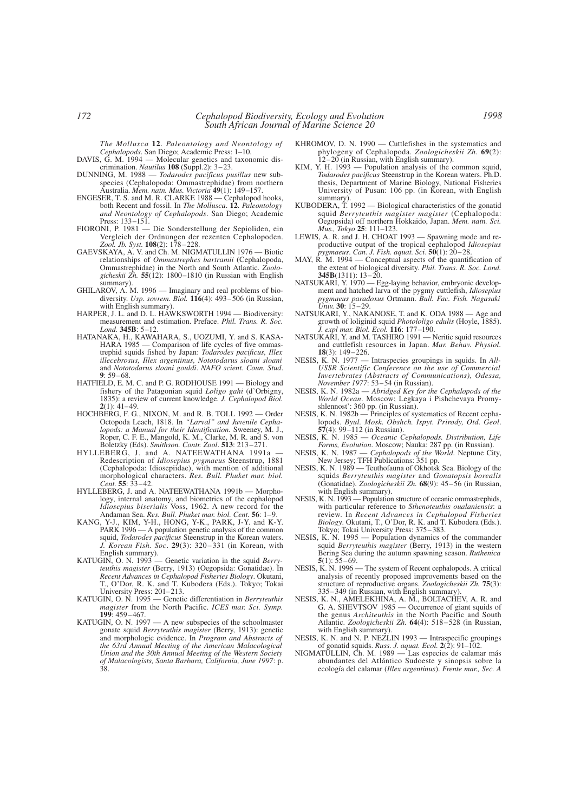*The Mollusca* **12**. *Paleontology and Neontology of Cephalopods*. San Diego; Academic Press: 1–10.

- DAVIS, G. M. 1994 Molecular genetics and taxonomic discrimination. *Nautilus* **108** (Suppl.2): 3–23.
- DUNNING, M. 1988 *Todarodes pacificus pusillus* new subspecies (Cephalopoda: Ommastrephidae) from northern Australia. *Mem. natn. Mus. Victoria* **49**(1): 149–157.
- ENGESER, T. S. and M. R. CLARKE 1988 Cephalopod hooks, both Recent and fossil. In *The Mollusca*. **12**. *Paleontology and Neontology of Cephalopods*. San Diego; Academic Press: 133–151.
- FIORONI, P. 1981 Die Sonderstellung der Sepioliden, ein Vergleich der Ordnungen der rezenten Cephalopoden. *Zool. Jb. Syst.* **108**(2): 178–228.
- GAEVSKAYA, A. V. and Ch. M. NIGMATULLIN 1976 Biotic relationships of *Ommastrephes bartramii* (Cephalopoda, Ommastrephidae) in the North and South Atlantic. *Zoologicheskii Zh.* **55**(12): 1800–1810 (in Russian with English summary).
- GHILAROV, A. M. 1996 Imaginary and real problems of bio-diversity. *Usp. sovrem. Biol.* **116**(4): 493–506 (in Russian, with English summary).
- HARPER, J. L. and D. L. HAWKSWORTH 1994 Biodiversity: measurement and estimation. Preface. *Phil. Trans. R. Soc. Lond.* **345B**: 5–12.
- HATANAKA, H., KAWAHARA, S., UOZUMI, Y. and S. KASA-HARA 1985 — Comparison of life cycles of five ommastrephid squids fished by Japan: *Todarodes pacificus, Illex illecebrosus, Illex argentinus, Nototodarus sloani sloani* and *Nototodarus sloani gouldi*. *NAFO scient. Coun. Stud*. **9**: 59–68.
- HATFIELD, E. M. C. and P. G. RODHOUSE 1991 Biology and fishery of the Patagonian squid *Loligo gahi* (d'Orbigny, 1835): a review of current knowledge. *J. Cephalopod Biol.* **2**(1): 41–49.
- HOCHBERG, F. G., NIXON, M. and R. B. TOLL 1992 Order Octopoda Leach, 1818. In *"Larval" and Juvenile Cephalopods: a Manual for their Identification.* Sweeney, M. J., Roper, C. F. E., Mangold, K. M., Clarke, M. R. and S. von Boletzky (Eds). *Smithson. Contr. Zool*. **513**: 213–271.
- HYLLEBERG, J. and A. NATEEWATHANA 1991a Redescription of *Idiosepius pygmaeus* Steenstrup, 1881 (Cephalopoda: Idiosepiidae), with mention of additional morphological characters. *Res. Bull. Phuket mar. biol. Cent.* **55**: 33–42.
- HYLLEBERG, J. and A. NATEEWATHANA 1991b Morphology, internal anatomy, and biometrics of the cephalopod *Idiosepius biserialis* Voss, 1962. A new record for the Andaman Sea. *Res. Bull. Phuket mar. biol. Cent.* **56**: 1–9.
- KANG, Y-J., KIM, Y-H., HONG, Y-K., PARK, J-Y. and K-Y. PARK 1996 — A population genetic analysis of the common squid, *Todarodes pacificus* Steenstrup in the Korean waters. *J. Korean Fish. Soc*. **29**(3): 320 – 331 (in Korean, with English summary).
- KATUGIN, O. N. 1993 Genetic variation in the squid *Berryteuthis magister* (Berry, 1913) (Oegopsida: Gonatidae). In *Recent Advances in Cephalopod Fisheries Biology*. Okutani, T., O'Dor, R. K. and T. Kubodera (Eds.). Tokyo; Tokai University Press: 201–213.
- KATUGIN, O. N. 1995 Genetic differentiation in *Berryteuthis magister* from the North Pacific. *ICES mar. Sci. Symp.* **199**: 459–467.
- KATUGIN, O. N. 1997 A new subspecies of the schoolmaster gonate squid *Berryteuthis magister* (Berry, 1913): genetic and morphologic evidence. In *Program and Abstracts of the 63rd Annual Meeting of the American Malacological Union and the 30th Annual Meeting of the Western Society of Malacologists, Santa Barbara, California, June 1997*: p. 38.
- KHROMOV, D. N. 1990 Cuttlefishes in the systematics and phylogeny of Cephalopoda. *Zoologicheskii Zh.* **69**(2): 12–20 (in Russian, with English summary).
- KIM, Y. H. 1993 Population analysis of the common squid, *Todarodes pacificus* Steenstrup in the Korean waters. Ph.D. thesis, Department of Marine Biology, National Fisheries University of Pusan: 106 pp. (in Korean, with English summary).
- KUBODERA, T. 1992 Biological characteristics of the gonatid squid *Berryteuthis magister magister* (Cephalopoda: Oegopsida) off northern Hokkaido, Japan. *Mem. natn. Sci. Mus., Tokyo* **25**: 111–123.
- LEWIS, A. R. and J. H. CHOAT 1993 Spawning mode and reproductive output of the tropical cephalopod *Idiosepius pygmaeus*. *Can. J. Fish. aquat. Sci*. **50**(1): 20–28.
- MAY, R. M. 1994 Conceptual aspects of the quantification of the extent of biological diversity. *Phil. Trans. R. Soc. Lond.* **345B**(1311): 13–20.
- NATSUKARI, Y. 1970 Egg-laying behavior, embryonic development and hatched larva of the pygmy cuttlefish, *Idiosepius pygmaeus paradoxus* Ortmann. *Bull. Fac. Fish. Nagasaki Univ.* **30**: 15–29.
- NATSUKARI, Y., NAKANOSE, T. and K. ODA 1988 Age and growth of loliginid squid *Photololigo edulis* (Hoyle, 1885). *J. expl mar. Biol. Ecol.* **116**: 177–190.
- NATSUKARI, Y. and M. TASHIRO 1991 Neritic squid resources and cuttlefish resources in Japan. *Mar. Behav. Physiol.* **18**(3): 149–226.
- NESIS, K. N. 1977 Intraspecies groupings in squids. In *All-USSR Scientific Conference on the use of Commercial Invertebrates (Abstracts of Communications), Odessa, November 1977*: 53–54 (in Russian).
- NESIS, K. N. 1982a *Abridged Key for the Cephalopods of the World Ocean*. Moscow; Legkaya i Pishchevaya Promyshlennost': 360 pp. (in Russian).
- NESIS, K. N. 1982b Principles of systematics of Recent cephalopods. *Byul. Mosk. Obshch. Ispyt. Prirody, Otd. Geol*. **57**(4): 99–112 (in Russian).
- NESIS, K. N. 1985 *Oceanic Cephalopods. Distribution, Life Forms, Evolution*. Moscow; Nauka: 287 pp. (in Russian).
- NESIS, K. N. 1987 *Cephalopods of the World*. Neptune City, New Jersey; TFH Publications: 351 pp.
- NESIS, K. N. 1989 Teuthofauna of Okhotsk Sea. Biology of the squids *Berryteuthis magister* and *Gonatopsis borealis* (Gonatidae). *Zoologicheskii Zh.* **68**(9): 45–56 (in Russian, with English summary).
- NESIS, K. N. 1993 Population structure of oceanic ommastrephids, with particular reference to *Sthenoteuthis oualaniensis*: a review. In *Recent Advances in Cephalopod Fisheries Biology*. Okutani, T., O'Dor, R. K. and T. Kubodera (Eds.). Tokyo; Tokai University Press: 375–383.
- NESIS, K. N. 1995 Population dynamics of the commander squid *Berryteuthis magister* (Berry, 1913) in the western Bering Sea during the autumn spawning season. *Ruthenica*  $5(1)$ :  $55-69$ .
- NESIS, K. N. 1996 The system of Recent cephalopods. A critical analysis of recently proposed improvements based on the structure of reproductive organs. *Zoologicheskii Zh.* **75**(3): 335–349 (in Russian, with English summary).
- NESIS, K. N., AMELEKHINA, A. M., BOLTACHEV, A. R. and G. A. SHEVTSOV 1985 — Occurrence of giant squids of the genus *Architeuthis* in the North Pacific and South Atlantic. *Zoologicheskii Zh.* **64**(4): 518–528 (in Russian, with English summary).
- NESIS, K. N. and N. P. NEZLIN 1993 Intraspecific groupings of gonatid squids. *Russ. J. aquat. Ecol.* **2**(2): 91–102.
- NIGMATULLIN, Ch. M. 1989 Las especies de calamar más abundantes del Atlántico Sudoeste y sinopsis sobre la ecología del calamar (*Illex argentinus*). *Frente mar., Sec. A*